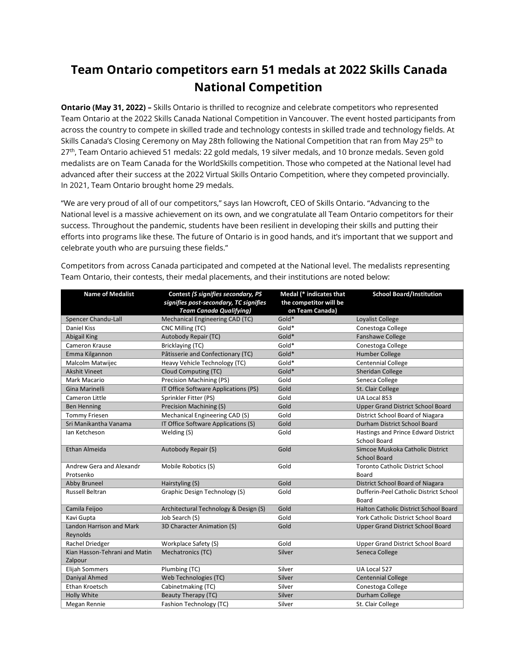## **Team Ontario competitors earn 51 medals at 2022 Skills Canada National Competition**

**Ontario (May 31, 2022) –** Skills Ontario is thrilled to recognize and celebrate competitors who represented Team Ontario at the 2022 Skills Canada National Competition in Vancouver. The event hosted participants from across the country to compete in skilled trade and technology contests in skilled trade and technology fields. At Skills Canada's Closing Ceremony on May 28th following the National Competition that ran from May 25<sup>th</sup> to 27<sup>th</sup>, Team Ontario achieved 51 medals: 22 gold medals, 19 silver medals, and 10 bronze medals. Seven gold medalists are on Team Canada for the WorldSkills competition. Those who competed at the National level had advanced after their success at the 2022 Virtual Skills Ontario Competition, where they competed provincially. In 2021, Team Ontario brought home 29 medals.

"We are very proud of all of our competitors," says Ian Howcroft, CEO of Skills Ontario. "Advancing to the National level is a massive achievement on its own, and we congratulate all Team Ontario competitors for their success. Throughout the pandemic, students have been resilient in developing their skills and putting their efforts into programs like these. The future of Ontario is in good hands, and it's important that we support and celebrate youth who are pursuing these fields."

| <b>Name of Medalist</b>                  | Contest (S signifies secondary, PS<br>signifies post-secondary, TC signifies<br><b>Team Canada Qualifying)</b> | Medal (* indicates that<br>the competitor will be<br>on Team Canada) | <b>School Board/Institution</b>                            |
|------------------------------------------|----------------------------------------------------------------------------------------------------------------|----------------------------------------------------------------------|------------------------------------------------------------|
| Spencer Chandu-Lall                      | Mechanical Engineering CAD (TC)                                                                                | Gold*                                                                | Loyalist College                                           |
| Daniel Kiss                              | CNC Milling (TC)                                                                                               | Gold*                                                                | Conestoga College                                          |
| <b>Abigail King</b>                      | Autobody Repair (TC)                                                                                           | Gold*                                                                | Fanshawe College                                           |
| Cameron Krause                           | Bricklaying (TC)                                                                                               | Gold*                                                                | Conestoga College                                          |
| Emma Kilgannon                           | Pâtisserie and Confectionary (TC)                                                                              | Gold*                                                                | <b>Humber College</b>                                      |
| Malcolm Matwijec                         | Heavy Vehicle Technology (TC)                                                                                  | Gold*                                                                | <b>Centennial College</b>                                  |
| <b>Akshit Vineet</b>                     | Cloud Computing (TC)                                                                                           | Gold*                                                                | <b>Sheridan College</b>                                    |
| Mark Macario                             | Precision Machining (PS)                                                                                       | Gold                                                                 | Seneca College                                             |
| Gina Marinelli                           | IT Office Software Applications (PS)                                                                           | Gold                                                                 | St. Clair College                                          |
| Cameron Little                           | Sprinkler Fitter (PS)                                                                                          | Gold                                                                 | UA Local 853                                               |
| <b>Ben Henning</b>                       | Precision Machining (S)                                                                                        | Gold                                                                 | <b>Upper Grand District School Board</b>                   |
| <b>Tommy Friesen</b>                     | Mechanical Engineering CAD (S)                                                                                 | Gold                                                                 | District School Board of Niagara                           |
| Sri Manikantha Vanama                    | IT Office Software Applications (S)                                                                            | Gold                                                                 | Durham District School Board                               |
| Ian Ketcheson                            | Welding (S)                                                                                                    | Gold                                                                 | Hastings and Prince Edward District<br><b>School Board</b> |
| Ethan Almeida                            | Autobody Repair (S)                                                                                            | Gold                                                                 | Simcoe Muskoka Catholic District<br><b>School Board</b>    |
| Andrew Gera and Alexandr<br>Protsenko    | Mobile Robotics (S)                                                                                            | Gold                                                                 | <b>Toronto Catholic District School</b><br>Board           |
| Abby Bruneel                             | Hairstyling (S)                                                                                                | Gold                                                                 | District School Board of Niagara                           |
| <b>Russell Beltran</b>                   | Graphic Design Technology (S)                                                                                  | Gold                                                                 | Dufferin-Peel Catholic District School<br>Board            |
| Camila Feijoo                            | Architectural Technology & Design (S)                                                                          | Gold                                                                 | Halton Catholic District School Board                      |
| Kavi Gupta                               | Job Search (S)                                                                                                 | Gold                                                                 | York Catholic District School Board                        |
| Landon Harrison and Mark<br>Reynolds     | 3D Character Animation (S)                                                                                     | Gold                                                                 | <b>Upper Grand District School Board</b>                   |
| Rachel Driedger                          | Workplace Safety (S)                                                                                           | Gold                                                                 | Upper Grand District School Board                          |
| Kian Hasson-Tehrani and Matin<br>Zalpour | Mechatronics (TC)                                                                                              | Silver                                                               | Seneca College                                             |
| <b>Elijah Sommers</b>                    | Plumbing (TC)                                                                                                  | Silver                                                               | UA Local 527                                               |
| Daniyal Ahmed                            | Web Technologies (TC)                                                                                          | Silver                                                               | <b>Centennial College</b>                                  |
| Ethan Kroetsch                           | Cabinetmaking (TC)                                                                                             | Silver                                                               | Conestoga College                                          |
| <b>Holly White</b>                       | Beauty Therapy (TC)                                                                                            | Silver                                                               | Durham College                                             |
| Megan Rennie                             | <b>Fashion Technology (TC)</b>                                                                                 | Silver                                                               | St. Clair College                                          |

Competitors from across Canada participated and competed at the National level. The medalists representing Team Ontario, their contests, their medal placements, and their institutions are noted below: